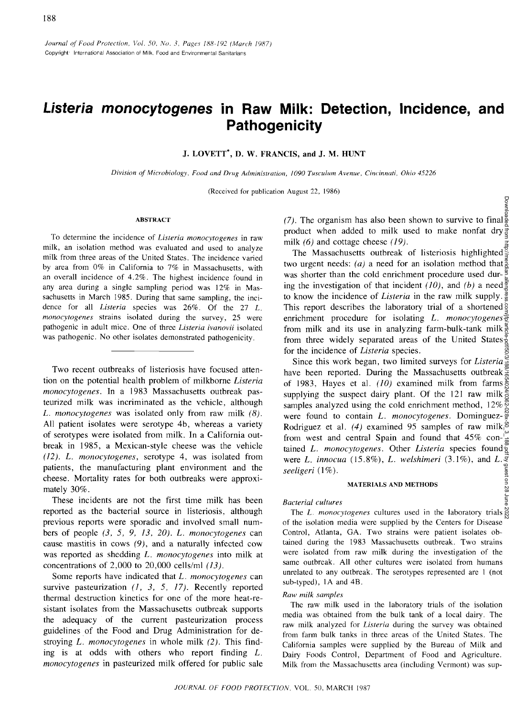# **Listeria monocytogenes in Raw Milk: Detection, Incidence, and Pathogenicity**

J. **LOVETT\*,** D. W. **FRANCIS, and** J. M. **HUNT** 

*Division of Microbiology, Food and Drug Administration, 1090 Tusculum Avenue, Cincinnati, Ohio 45226* 

(Received for publication August 22, 1986)

#### **ABSTRACT**

To determine the incidence of *Listeria monocytogenes* in raw milk, an isolation method was evaluated and used to analyze milk from three areas of the United States. The incidence varied by area from 0% in California to 7% in Massachusetts, with an overall incidence of 4.2%. The highest incidence found in any area during a single sampling period was 12% in Massachusetts in March 1985. During that same sampling, the incidence for all *Listeria* species was 26%. Of the 27 *L. monocytogenes* strains isolated during the survey, 25 were pathogenic in adult mice. One of three *Listeria ivanovii* isolated was pathogenic. No other isolates demonstrated pathogenicity.

Two recent outbreaks of listeriosis have focused attention on the potential health problem of milkborne *Listeria monocytogenes.* In a 1983 Massachusetts outbreak pasteurized milk was incriminated as the vehicle, although *L. monocytogenes* was isolated only from raw milk *(8).*  All patient isolates were serotype 4b, whereas a variety of serotypes were isolated from milk. In a California outbreak in 1985, a Mexican-style cheese was the vehicle *(12). L. monocytogenes,* serotype 4, was isolated from patients, the manufacturing plant environment and the cheese. Mortality rates for both outbreaks were approximately 30%.

These incidents are not the first time milk has been reported as the bacterial source in listeriosis, although previous reports were sporadic and involved small numbers of people *(3, 5, 9, 13, 20). L. monocytogenes* can cause mastitis in cows *(9),* and a naturally infected cow was reported as shedding *L. monocytogenes* into milk at concentrations of 2,000 to 20,000 cells/ml *(13).* 

Some reports have indicated that *L. monocytogenes* can survive pasteurization *(1, 3, 5, 17).* Recently reported thermal destruction kinetics for one of the more heat-resistant isolates from the Massachusetts outbreak supports the adequacy of the current pasteurization process guidelines of the Food and Drug Administration for destroying *L. monocytogenes* in whole milk *(2).* This finding is at odds with others who report finding *L. monocytogenes* in pasteurized milk offered for public sale

*(7).* The organism has also been shown to survive to final product when added to milk used to make nonfat dry milk *(6)* and cottage cheese *(19).* 

The Massachusetts outbreak of listeriosis highlighted  $\frac{1}{3}$ two urgent needs: (*a*) a need for an isolation method that  $\frac{a}{5}$ was shorter than the cold enrichment procedure used during the investigation of that incident *(10)*, and *(b)* a need  $\frac{1}{3}$ to know the incidence of *Listeria* in the raw milk supply. This report describes the laboratory trial of a shortened  $\frac{5}{9}$ enrichment procedure for isolating *L. monocytogenes*  from milk and its use in analyzing farm-bulk-tank milk  $\frac{a}{b}$ from three widely separated areas of the United States $\frac{9}{8}$ for the incidence of *Listeria* species.

Since this work began, two limited surveys for *Listeria*  have been reported. During the Massachusetts outbreak  $\frac{\infty}{\hat{g}}$ of 1983, Hayes et al. *(10)* examined milk from farms supplying the suspect dairy plant. Of the 121 raw milk  $\frac{8}{3}$ samples analyzed using the cold enrichment method,  $12\%$ <sup>®</sup> were found to contain *L. monocytogenes.* Dominguez-Rodriguez et al. *(4)* examined 95 samples of raw milk from west and central Spain and found that 45% con- $\frac{1}{\sigma}$ tained *L. monocytogenes.* Other *Listeria* species found were *L. innocua* (15.8%), *L. welshimeri* (3.1%), and *L. seeligeri* (1%). Downloaded from http://meridian.allenpress.com/jfp/article-pdf/50/3/188/1654024/0362-028x-50\_3\_188.pdf by guest on 28 June 2022

#### **MATERIALS AND METHODS**

#### *Bacterial cultures*

The *L. monocytogenes* cultures used in the laboratory trials  $\frac{8}{6}$ of the isolation media were supplied by the Centers for Disease Control, Atlanta, GA. Two strains were patient isolates obtained during the 1983 Massachusetts outbreak. Two strains were isolated from raw milk during the investigation of the same outbreak. All other cultures were isolated from humans unrelated to any outbreak. The serotypes represented are 1 (not sub-typed), 1A and 4B.

#### *Raw milk samples*

The raw milk used in the laboratory trials of the isolation media was obtained from the bulk tank of a local dairy. The raw milk analyzed for *Listeria* during the survey was obtained from farm bulk tanks in three areas of the United States. The California samples were supplied by the Bureau of Milk and Dairy Foods Control, Department of Food and Agriculture. Milk from the Massachusetts area (including Vermont) was sup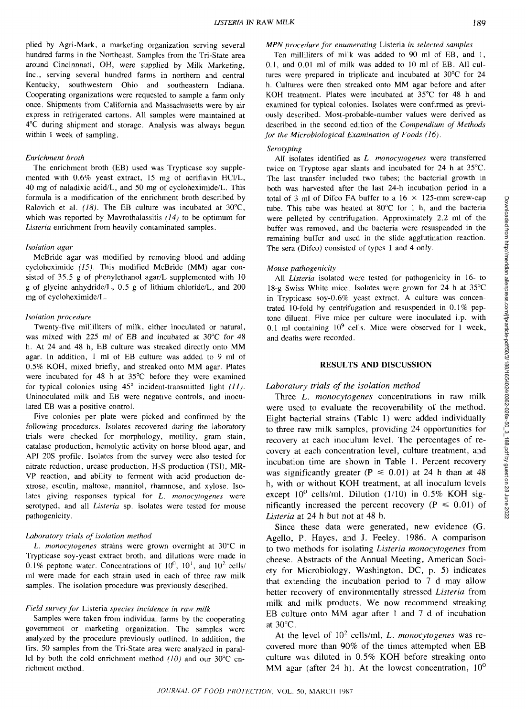plied by Agri-Mark, a marketing organization serving several hundred farms in the Northeast. Samples from the Tri-State area around Cincinnnati, OH, were supplied by Milk Marketing, Inc., serving several hundred farms in northern and central Kentucky, southwestern Ohio and southeastern Indiana. Cooperating organizations were requested to sample a farm only once. Shipments from California and Massachusetts were by air express in refrigerated cartons. All samples were maintained at 4°C during shipment and storage. Analysis was always begun within 1 week of sampling.

#### *Enrichment broth*

The enrichment broth (EB) used was Trypticase soy supplemented with 0.6% yeast extract, 15 mg of acriflavin HC1/L, 40 mg of naladixic acid/L, and 50 mg of cycloheximide/L. This formula is a modification of the enrichment broth described by Ralovich et al. *(18).* The EB culture was incubated at 30°C, which was reported by Mavrothalassitis *(14)* to be optimum for *Listeria* enrichment from heavily contaminated samples.

#### *Isolation agar*

McBride agar was modified by removing blood and adding cycloheximide *(15).* This modified McBride (MM) agar consisted of 35.5 g of phenylethanol agar/L supplemented with 10 g of glycine anhydride/L, 0.5 g of lithium chloride/L, and 200 mg of cycloheximide/L.

#### *Isolation procedure*

Twenty-five milliliters of milk, either inoculated or natural, was mixed with 225 ml of EB and incubated at 30°C for 48 h. At 24 and 48 h, EB culture was streaked directly onto MM agar. In addition, 1 ml of EB culture was added to 9 ml of 0.5% KOH, mixed briefly, and streaked onto MM agar. Plates were incubated for 48 h at 35°C before they were examined for typical colonies using  $45^{\circ}$  incident-transmitted light (11). Uninoculated milk and EB were negative controls, and inoculated EB was a positive control.

Five colonies per plate were picked and confirmed by the following procedures. Isolates recovered during the laboratory trials were checked for morphology, motility, gram stain, catalase production, hemolytic activity on horse blood agar, and API 20S profile. Isolates from the survey were also tested for nitrate reduction, urease production,  $H_2S$  production (TSI), MR-VP reaction, and ability to ferment with acid production dextrose, esculin, maltose, mannitol, rhamnose, and xylose. Isolates giving responses typical for *L. monocytogenes* were serotyped, and all *Listeria* sp. isolates were tested for mouse pathogenicity.

#### *Laboratory trials of isolation method*

*L. monocytogenes* strains were grown overnight at 30°C in Trypticase soy-yeast extract broth, and dilutions were made in 0.1% peptone water. Concentrations of  $10^0$ ,  $10^1$ , and  $10^2$  cells/ ml were made for each strain used in each of three raw milk samples. The isolation procedure was previously described.

## *Field survey for* Listeria *species incidence in raw milk*

Samples were taken from individual farms by the cooperating government or marketing organization. The samples were analyzed by the procedure previously outlined. In addition, the first 50 samples from the Tri-State area were analyzed in parallel by both the cold enrichment method *(10)* and our 30°C enrichment method.

Ten milliliters of milk was added to 90 ml of EB, and 1, 0.1, and 0.01 ml of milk was added to 10 ml of EB. All cultures were prepared in triplicate and incubated at 30°C for 24 h. Cultures were then streaked onto MM agar before and after KOH treatment. Plates were incubated at 35°C for 48 h and examined for typical colonies. Isolates were confirmed as previously described. Most-probable-number values were derived as described in the second edition of the *Compendium of Methods for the Microbiological Examination of Foods (16).* 

### *Serotyping*

All isolates identified as *L. monocytogenes* were transferred twice on Tryptose agar slants and incubated for 24 h at 35°C. The last transfer included two tubes; the bacterial growth in both was harvested after the last 24-h incubation period in a total of 3 ml of Difco FA buffer to a  $16 \times 125$ -mm screw-cap tube. This tube was heated at 80°C for 1 h, and the bacteria were pelleted by centrifugation. Approximately 2.2 ml of the buffer was removed, and the bacteria were resuspended in the remaining buffer and used in the slide agglutination reaction. The sera (Difco) consisted of types 1 and 4 only.

#### *Mouse pathogenicity*

All *Listeria* isolated were tested for pathogenicity in 16- to 18-g Swiss White mice. Isolates were grown for 24 h at 35°C in Trypticase soy-0.6% yeast extract. A culture was concentrated 10-fold by centrifugation and resuspended in 0.1% peptone diluent. Five mice per culture were inoculated i.p. with 0.1 ml containing  $10^9$  cells. Mice were observed for 1 week, and deaths were recorded.

## **RESULTS AND DISCUSSION**

## *Laboratory trials of the isolation method*

Three *L. monocytogenes* concentrations in raw milk were used to evaluate the recoverability of the method. Eight bacterial strains (Table 1) were added individually to three raw milk samples, providing 24 opportunities for recovery at each inoculum level. The percentages of recovery at each concentration level, culture treatment, and incubation time are shown in Table 1. Percent recovery was significantly greater ( $P \le 0.01$ ) at 24 h than at 48 h, with or without **KOH** treatment, at all inoculum levels except 10° cells/ml. Dilution (1/10) in 0.5% **KOH** significantly increased the percent recovery ( $P \le 0.01$ ) of *Listeria* at 24 h but not at 48 h.

Since these data were generated, new evidence (G. Agello, P. Hayes, and J. Feeley. 1986. A comparison to two methods for isolating *Listeria monocytogenes* from cheese. Abstracts of the Annual Meeting, American Society for Microbiology, Washington, DC, p. 5) indicates that extending the incubation period to 7 d may allow better recovery of environmentally stressed *Listeria* from milk and milk products. We now recommend streaking EB culture onto MM agar after 1 and 7 d of incubation at  $30^{\circ}$ C.

At the level of 10<sup>2</sup> cells/ml, *L. monocytogenes* was recovered more than 90% of the times attempted when EB culture was diluted in 0.5% KOH before streaking onto MM agar (after 24 h). At the lowest concentration,  $10^0$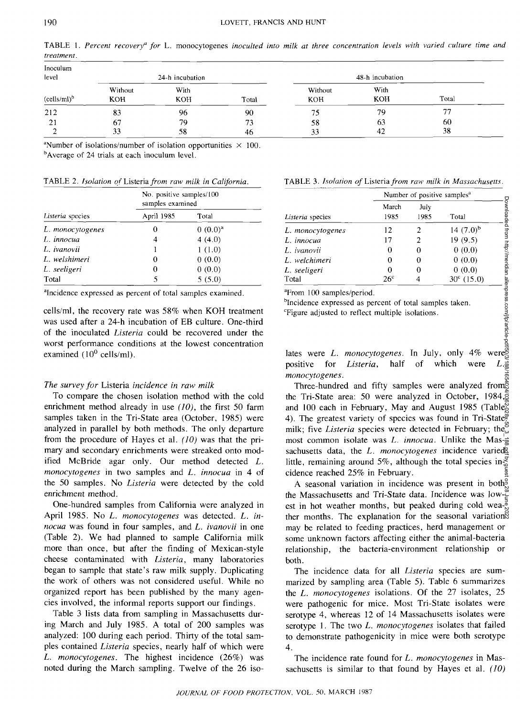|            |  | TABLE 1. Percent recovery <sup>a</sup> for L. monocytogenes inoculted into milk at three concentration levels with varied culture time and |  |  |  |  |  |  |
|------------|--|--------------------------------------------------------------------------------------------------------------------------------------------|--|--|--|--|--|--|
| treatment. |  |                                                                                                                                            |  |  |  |  |  |  |

| Inoculum<br>level |                       | 24-h incubation    |          |                       | 48-h incubation |                          |  |
|-------------------|-----------------------|--------------------|----------|-----------------------|-----------------|--------------------------|--|
| $(cells/ml)^b$    | Without<br><b>KOH</b> | With<br><b>KOH</b> | Total    | Without<br><b>KOH</b> | With<br>KOH     | Total                    |  |
| 212               | 83                    | 96                 | 90       | 75                    | 79              | $\overline{\phantom{a}}$ |  |
| 21                | 67<br>33              | 79<br>58           | 73<br>46 | 58<br>33              | 63<br>42        | 60<br>38                 |  |

"Number of isolations/number of isolation opportunities  $\times$  100.<br>"Average of 24 trials at each inoculum layel <sup>b</sup>Average of 24 trials at each inoculum level.

TABLE 2. *Isolation of* Listeria *from raw milk in California.* TABLE 3. *Isolation of* Listeria *from raw milk in Massachusetts.* 

|                  | No. positive samples/100<br>samples examined |            |  |  |  |  |
|------------------|----------------------------------------------|------------|--|--|--|--|
| Listeria species | April 1985                                   | Total      |  |  |  |  |
| L. monocytogenes | 0                                            | $0(0.0)^a$ |  |  |  |  |
| L. innocua       | 4                                            | 4(4.0)     |  |  |  |  |
| L. ivanovii      |                                              | 1(1.0)     |  |  |  |  |
| L. welshimeri    | 0                                            | 0(0.0)     |  |  |  |  |
| L. seeligeri     | 0                                            | 0(0.0)     |  |  |  |  |
| Total            | 5                                            | 5(5.0)     |  |  |  |  |

<sup>a</sup>Incidence expressed as percent of total samples examined.

cells/ml, the recovery rate was 58% when KOH treatment was used after a 24-h incubation of EB culture. One-third of the inoculated *Listeria* could be recovered under the worst performance conditions at the lowest concentration examined  $(10^0 \text{ cells/ml})$ .

## *The survey for* Listeria *incidence in raw milk*

To compare the chosen isolation method with the cold enrichment method already in use *(10),* the first 50 farm samples taken in the Tri-State area (October, 1985) were analyzed in parallel by both methods. The only departure from the procedure of Hayes et al. *(10)* was that the primary and secondary enrichments were streaked onto modified McBride agar only. Our method detected *L. monocytogenes* in two samples and *L. innocua* in 4 of the 50 samples. No *Listeria* were detected by the cold enrichment method.

One-hundred samples from California were analyzed in April 1985. No *L. monocytogenes* was detected. *L. innocua* was found in four samples, and *L. ivanovii* in one (Table 2). We had planned to sample California milk more than once, but after the finding of Mexican-style cheese contaminated with *Listeria,* many laboratories began to sample that state's raw milk supply. Duplicating the work of others was not considered useful. While no organized report has been published by the many agencies involved, the informal reports support our findings.

Table 3 lists data from sampling in Massachusetts during March and July 1985. A total of 200 samples was analyzed: 100 during each period. Thirty of the total samples contained *Listeria* species, nearly half of which were *L. monocytogenes.* The highest incidence (26%) was noted during the March sampling. Twelve of the 26 iso-

|  |  |  |  |  |  | TABLE 3. Isolation of Listeria from raw milk in Massachusetts |
|--|--|--|--|--|--|---------------------------------------------------------------|
|--|--|--|--|--|--|---------------------------------------------------------------|

|                  | Number of positive samples <sup>a</sup> |              |                     |  |  |  |
|------------------|-----------------------------------------|--------------|---------------------|--|--|--|
| Listeria species | March<br>1985                           | July<br>1985 | Total               |  |  |  |
| L. monocytogenes | 12                                      |              | 14 $(7.0)^b$        |  |  |  |
| L. innocua       | 17                                      |              | 19(9.5)             |  |  |  |
| L. ivanovii      | 0                                       |              | 0(0.0)              |  |  |  |
| L. welchimeri    | 0                                       |              | 0(0.0)              |  |  |  |
| L. seeligeri     | 0                                       |              | 0(0.0)              |  |  |  |
| Total            | 26°                                     |              | $30^{\circ}$ (15.0) |  |  |  |

<sup>a</sup>From 100 samples/period.<br><sup>b</sup>Incidence expressed as per

<sup>o</sup>Incidence expressed as percent of total samples taken.<br>"Figure adjusted to reflect multiple isolations.

lates were *L. monocytogenes.* In July, only 4% were positive for *Listeria,* half of which were *L. monocytogenes.* 

Three-hundred and fifty samples were analyzed from the Tri-State area: 50 were analyzed in October, 1984, and 100 each in February, May and August 1985 (Table 4). The greatest variety of species was found in Tri-State $\tilde{\tilde{\mathbf{z}}}$ milk; five *Listeria* species were detected in February; the most common isolate was L. *innocua*. Unlike the Mas- $\frac{1}{2}$ sachusetts data, the *L. monocytogenes* incidence varied little, remaining around 5%, although the total species in- $\frac{5}{6}$ cidence reached 25% in February. Downloaded from http://meridian.allenpress.com/jfp/article-pdf/50/3/188/1654024/0362-028x-50\_3\_188.pdf by guest on 28 June 2022

A seasonal variation in incidence was present in both<sup>9</sup> the Massachusetts and Tri-State data. Incidence was low- $\frac{\alpha}{2}$ est in hot weather months, but peaked during cold wea- $\frac{3}{6}$ ther months. The explanation for the seasonal variation<sup>®</sup> may be related to feeding practices, herd management or some unknown factors affecting either the animal-bacteria relationship, the bacteria-environment relationship or both.

The incidence data for all *Listeria* species are summarized by sampling area (Table 5). Table 6 summarizes the *L. monocytogenes* isolations. Of the 27 isolates, 25 were pathogenic for mice. Most Tri-State isolates were serotype 4, whereas 12 of 14 Massachusetts isolates were serotype 1. The two *L. monocytogenes* isolates that failed to demonstrate pathogenicity in mice were both serotype 4.

The incidence rate found for *L. monocytogenes* in Massachusetts is similar to that found by Hayes et al. *(10)*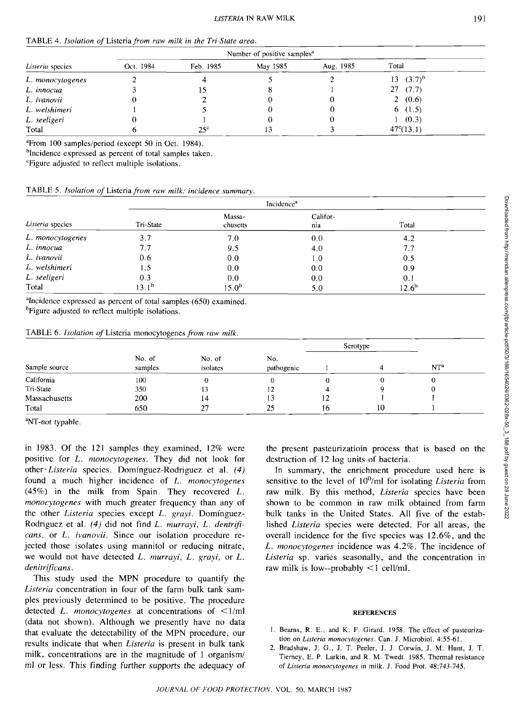| Listeria species | Oct. 1984 | Feb. 1985    | May 1985 | Aug. 1985 | Total              |  |
|------------------|-----------|--------------|----------|-----------|--------------------|--|
| L. monocytogenes |           |              |          |           | 13 $(3.7)^b$       |  |
| L. innocua       |           |              |          |           | 27(7.7)            |  |
| L. ivanovii      |           |              |          | U         | 2(0.6)             |  |
| L. welshimeri    |           |              | U        |           | 6(1.5)             |  |
| L. seeligeri     |           |              |          | v         | (0.3)              |  |
| Total            |           | $25^{\circ}$ | 13       |           | $47^{\circ}(13.1)$ |  |

 $P$ From 100 samples/period (except 50 in Oct. 1984).

<sup>b</sup>Incidence expressed as percent of total samples taken.

<sup>c</sup>Figure adjusted to reflect multiple isolations.

|  |  |  |  |  |  |  |  |  | TABLE 5. Isolation of Listeria from raw milk: incidence summary. |
|--|--|--|--|--|--|--|--|--|------------------------------------------------------------------|
|--|--|--|--|--|--|--|--|--|------------------------------------------------------------------|

|                  |            |                    | Incidence <sup>a</sup> |            |  |
|------------------|------------|--------------------|------------------------|------------|--|
| Listeria species | Tri-State  | Massa-<br>chusetts | Califor-<br>nia        | Total      |  |
| L. monocytogenes | 3.7        | 7.0                | 0,0                    | 4.2        |  |
| L. innocua       | 7.7        | 9.5                | 4.0                    | 7.7        |  |
| L. ivanovii      | 0.6        | 0.0                | 1.0                    | 0.5        |  |
| L. welshimeri    | 1.5        | 0.0                | 0.0                    | 0.9        |  |
| L. seeligeri     | 0.3        | 0.0                | 0.0                    | 0.1        |  |
| Total            | $13.1^{b}$ | $15.0^{\rm b}$     | 5.0                    | $12.6^{b}$ |  |

<sup>a</sup>Incidence expressed as percent of total samples  $(650)$  examined.<br>**bEigure** adjusted to reflect multiple isolations

<sup>b</sup>Figure adjusted to reflect multiple isolations.

TABLE 6. *Isolation of* Listeria monocytogenes *from raw milk.* 

| Sample source |                   |                    |                   |    | Serotype |                 |  |
|---------------|-------------------|--------------------|-------------------|----|----------|-----------------|--|
|               | No. of<br>samples | No. of<br>isolates | No.<br>pathogenic |    | 4        | NT <sup>a</sup> |  |
| California    | 100               | 0                  |                   |    |          |                 |  |
| Tri-State     | 350               | 13                 | 12                | 4  |          | 0               |  |
| Massachusetts | 200               | 14                 | 13                | 12 |          |                 |  |
| Total         | 650               | 27                 | 25                | 16 | 10       |                 |  |

<sup>a</sup>NT-not typable.

in 1983. Of the 121 samples they examined, 12% were positive for *L. monocytogenes.* They did not look for other *-Listeria* species. Dominguez-Rodriguez et al. *(4)*  found a much higher incidence of *L. monocytogenes*  (45%) in the milk from Spain. They recovered *L. monocytogenes* with much greater frequency than any of the other *Listeria* species except *L. grayi.* Dominguez-Rodriguez et al. *(4)* did not find *L. murrayi, L. dentrificans,* or *L. ivanovii.* Since our isolation procedure rejected those isolates using mannitol or reducing nitrate, we would not have detected *L. murrayi, L. grayi,* or *L. denitrificans.* 

This study used the MPN procedure to quantify the *Listeria* concentration in four of the farm bulk tank samples previously determined to be positive. The procedure detected *L. monocytogenes* at concentrations of <1/ml (data not shown). Although we presently have no data that evaluate the detectability of the MPN procedure, our results indicate that when *Listeria* is present in bulk tank milk, concentrations are in the magnitude of 1 organism/ ml or less. This finding further supports the adequacy of the present pasteurizatioin process that is based on the destruction of 12 log units of bacteria.

In summary, the enrichment procedure used here is sensitive to the level of 10°/ml for isolating *Listeria* from raw milk. By this method, *Listeria* species have been shown to be common in raw milk obtained from farm bulk tanks in the United States. All five of the established *Listeria* species were detected. For all areas, the overall incidence for the five species was 12.6%, and the *L. monocytogenes* incidence was 4.2%. The incidence of *Listeria* sp. varies seasonally, and the concentration in raw milk is low--probably  $\leq 1$  cell/ml.

## **REFERENCES**

- 1. Bearns, R. E., and K. F. Girard. 1958. The effect of pasteurization on *Listeria monocytogenes.* Can. J. Microbiol. 4:55-61.
- 2. Bradshaw, J. G., J. T. Peeler, J. J. Corwin, J. M. Hunt, J. T. Tierney, E. P. Larkin, and R. M. Twedt. 1985. Thermal resistance *of Listeria monocytogenes* in milk. J. Food Prot. 48:743-745.